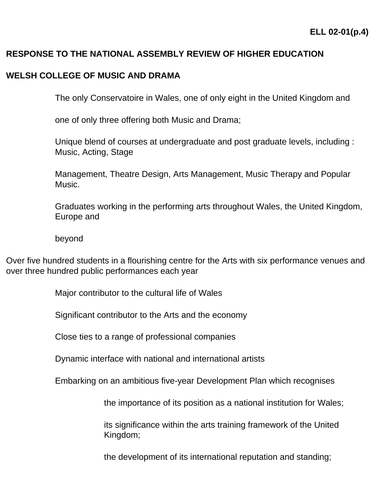### **RESPONSE TO THE NATIONAL ASSEMBLY REVIEW OF HIGHER EDUCATION**

### **WELSH COLLEGE OF MUSIC AND DRAMA**

The only Conservatoire in Wales, one of only eight in the United Kingdom and

one of only three offering both Music and Drama;

Unique blend of courses at undergraduate and post graduate levels, including : Music, Acting, Stage

Management, Theatre Design, Arts Management, Music Therapy and Popular Music.

Graduates working in the performing arts throughout Wales, the United Kingdom, Europe and

beyond

Over five hundred students in a flourishing centre for the Arts with six performance venues and over three hundred public performances each year

Major contributor to the cultural life of Wales

Significant contributor to the Arts and the economy

Close ties to a range of professional companies

Dynamic interface with national and international artists

Embarking on an ambitious five-year Development Plan which recognises

the importance of its position as a national institution for Wales;

its significance within the arts training framework of the United Kingdom;

the development of its international reputation and standing;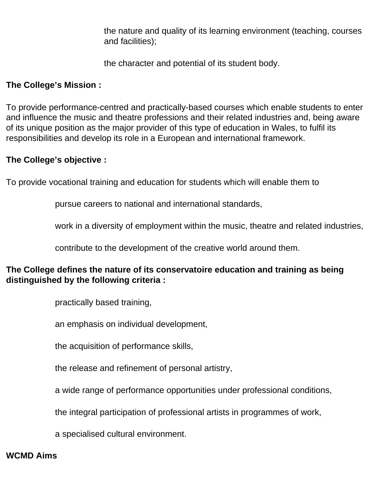the nature and quality of its learning environment (teaching, courses and facilities);

the character and potential of its student body.

## **The College's Mission :**

To provide performance-centred and practically-based courses which enable students to enter and influence the music and theatre professions and their related industries and, being aware of its unique position as the major provider of this type of education in Wales, to fulfil its responsibilities and develop its role in a European and international framework.

## **The College's objective :**

To provide vocational training and education for students which will enable them to

pursue careers to national and international standards,

work in a diversity of employment within the music, theatre and related industries,

contribute to the development of the creative world around them.

# **The College defines the nature of its conservatoire education and training as being distinguished by the following criteria :**

practically based training,

an emphasis on individual development,

the acquisition of performance skills,

the release and refinement of personal artistry,

a wide range of performance opportunities under professional conditions,

the integral participation of professional artists in programmes of work,

a specialised cultural environment.